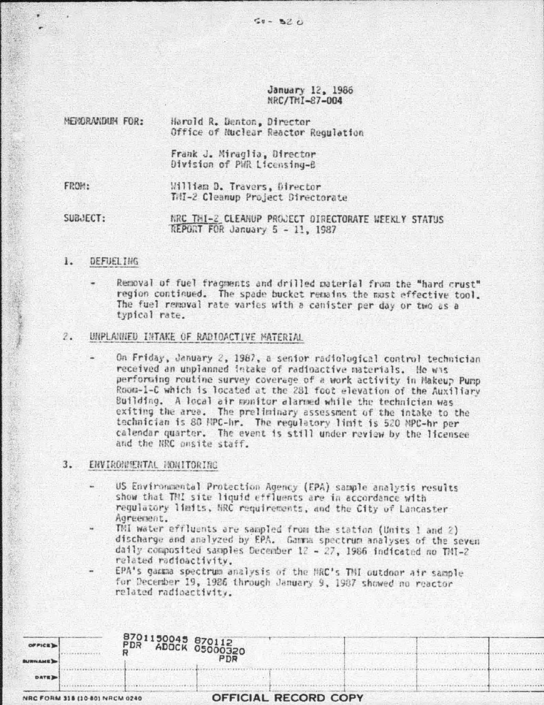January 12, 1986 NRC/TMI-87-004

| MEMORANDUM FOR: | Harold R. Denton, Director<br>Office of Nuclear Reactor Regulation |
|-----------------|--------------------------------------------------------------------|
|                 | Frank J. Miraglia, Director<br>Division of PWR Licensing-B         |
| FROM:           | William D. Travers, Director<br>THI-2 Cleanup Project Directorate  |

SUBJECT: NRC THI-2 CLEANUP PROJECT DIRECTORATE WEEKLY STATUS REPORT FOR January 5 - 11, 1987

## DEFUEL ING 1.

Removal of fuel fragments and drilled material from the "hard crust" region continued. The spade bucket remains the most effective tool. The fuel removal rate varies with a canister per day or two as a typical rate.

### $2.1$ UNPLANNED INTAKE OF RADIOACTIVE MATERIAL

On Friday, January 2, 1987, a senior radiological control technician received an unplanned intake of radioactive materials. He wis performing routine survey coverage of a work activity in Makeup Pump Room-1-C which is located at the 281 foot elevation of the Auxiliary Building. A local air monitor alarmed while the technician was exiting the area. The preliminary assessment of the intake to the technician is 80 HPC-hr. The regulatory limit is 520 MPC-hr per calendar quarter. The event is still under review by the licensee and the NRC onsite staff.

# 3. ENVIRONMENTAL MONITORING

- US Environmental Protection Agency (EPA) sample analysis results show that TMI site liquid effluents are in accordance with regulatory limits, NRC regulrements, and the City of Lancaster Agreement.
- THI water effluents are sampled from the station (Units 1 and 2) discharge and analyzed by EPA. Gamma spectrum analyses of the seven daily composited samples December 12 - 27, 1986 indicated no TMI-2 related radioactivity.
- EPA's gamma spectrum analysis of the NRC's TNI outdoor air sample. for December 19, 1986 through January 9, 1987 showed no reactor related radioactivity.

............ .............

| OFFICE D       |                                | B201150045 870112<br>DR ADOCK 05000320 |     |                             |  |  |
|----------------|--------------------------------|----------------------------------------|-----|-----------------------------|--|--|
| <b>SURNAME</b> |                                |                                        | PDR |                             |  |  |
| <b>DATE</b>    |                                |                                        |     |                             |  |  |
|                | NRC FORM 318 (10-80) NRCM 0240 |                                        |     | <b>OFFICIAL RECORD COPY</b> |  |  |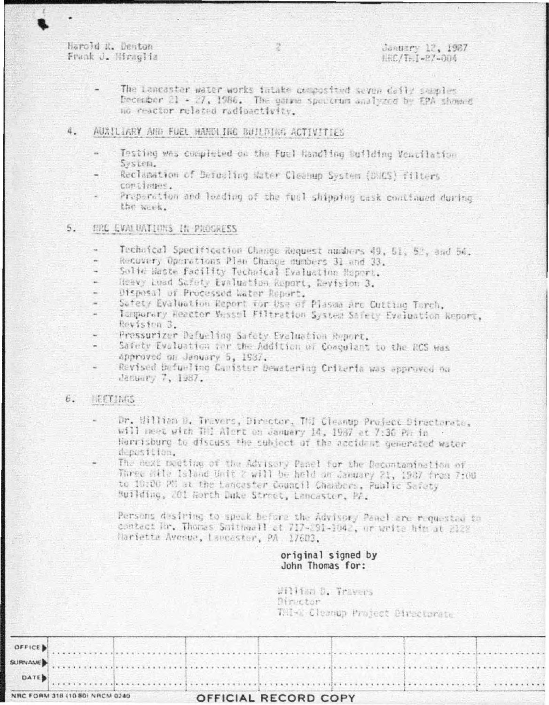Harold R. Denton Frank J. Hiraclia

The Lancaster water works intake composited seven daily samples December 21 - 27, 1986. The gamme spectrum analyzed by EPA showed no reactor related radioactivity.

ž.

## 4. AUXILIARY AND FUEL HANDLING BUILDING ACTIVITIES

- Testing was completed on the Fuel Handling Building Venuilation System.
- Reclamation of Befueling Hater Cleanup System (DNCS) filters continue.
- Preparation and loading of the fuel shipping cask continued during the work.
- FRC EVALUATIONS IN PROGRESS 5.
	- Technical Specification Change Request numbers 49, 51, 52, and 54.
	- Recovery Operations Plan Change numbers 31 and 33.
	- Solid Haste Facility Technical Evaluation Report.
	- Reavy Luad Safety Evaluation Report, Revision 3.
	- Disposal of Processed Water Report.
	- Sufety Evaluation Report for Use of Plassa Arc Cutting Torch.
	- Temporary Reactor Vessel Filtration System Safety Evaluation Report, Revision 3.
	- Pressurizer Defueling Safety Evaluation Report.
	- Safety Evaluation for the Addition of Coaculant to the RCS was approved on January 5, 1937.
	- Ravised Defueling Canister Dewatering Criteria was approved no January 7, 1987.

#### $6.$ **LETINGS**

**OFFICE** 

- Dr. Hillian B. Travers, Director, THI Cleanup Project Directorate, will meet with THI Alert on January 14, 1987 at 7:30 PA in Harrisburg to discuss the subject of the accident generated water deposition.
- The next meeting of the Advisory Panel for the Decontamination of Three Mile Island Unit 2 will be held on January 21, 1907 from 7:00 to 10:00 PM at the Lancaster Council Chambers, Public Safety Building, 201 Horth Duke Street, Lancaster, PA.

Persons disiring to speak before the Advisory Panel are requested to contact Mr. Thomas Smithgall et 717-291-1042, or write him at 2122 Harietta Avenue, Lancaster, PA 17603.

> original signed by John Thomas for:

William D. Travers Director Wil-W Cleanup Project Divectorate

. . . . . . . . . .

|      | NRC FORM 318 (10.80) NRCM 0240 | <b>OFFICIAL RECORD COPY</b> |  |
|------|--------------------------------|-----------------------------|--|
|      |                                |                             |  |
| DATE |                                |                             |  |
|      |                                |                             |  |